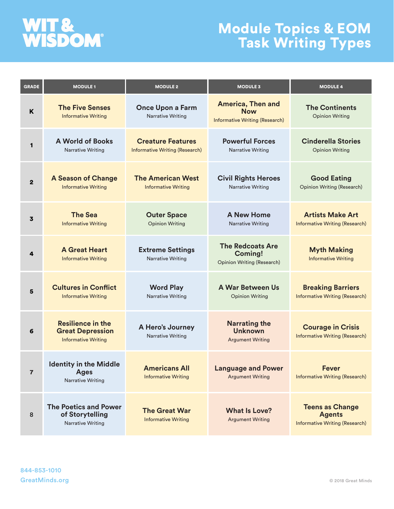## WIT&<br>WISDOM®

## Module Topics & EOM Task Writing Types

| <b>GRADE</b>            | <b>MODULE 1</b>                                                                   | <b>MODULE 2</b>                                            | <b>MODULE 3</b>                                                                 | <b>MODULE 4</b>                                                                  |
|-------------------------|-----------------------------------------------------------------------------------|------------------------------------------------------------|---------------------------------------------------------------------------------|----------------------------------------------------------------------------------|
| K                       | <b>The Five Senses</b><br><b>Informative Writing</b>                              | <b>Once Upon a Farm</b><br><b>Narrative Writing</b>        | <b>America, Then and</b><br><b>Now</b><br><b>Informative Writing (Research)</b> | <b>The Continents</b><br><b>Opinion Writing</b>                                  |
| $\mathbf 1$             | <b>A World of Books</b><br><b>Narrative Writing</b>                               | <b>Creature Features</b><br>Informative Writing (Research) | <b>Powerful Forces</b><br><b>Narrative Writing</b>                              | <b>Cinderella Stories</b><br><b>Opinion Writing</b>                              |
| $\mathbf{2}$            | <b>A Season of Change</b><br><b>Informative Writing</b>                           | <b>The American West</b><br><b>Informative Writing</b>     | <b>Civil Rights Heroes</b><br><b>Narrative Writing</b>                          | <b>Good Eating</b><br><b>Opinion Writing (Research)</b>                          |
| $\overline{\mathbf{3}}$ | <b>The Sea</b><br><b>Informative Writing</b>                                      | <b>Outer Space</b><br><b>Opinion Writing</b>               | <b>A New Home</b><br><b>Narrative Writing</b>                                   | <b>Artists Make Art</b><br>Informative Writing (Research)                        |
| 4                       | <b>A Great Heart</b><br><b>Informative Writing</b>                                | <b>Extreme Settings</b><br><b>Narrative Writing</b>        | <b>The Redcoats Are</b><br><b>Coming!</b><br><b>Opinion Writing (Research)</b>  | <b>Myth Making</b><br><b>Informative Writing</b>                                 |
| 5                       | <b>Cultures in Conflict</b><br><b>Informative Writing</b>                         | <b>Word Play</b><br><b>Narrative Writing</b>               | <b>A War Between Us</b><br><b>Opinion Writing</b>                               | <b>Breaking Barriers</b><br><b>Informative Writing (Research)</b>                |
| 6                       | <b>Resilience in the</b><br><b>Great Depression</b><br><b>Informative Writing</b> | A Hero's Journey<br><b>Narrative Writing</b>               | <b>Narrating the</b><br><b>Unknown</b><br><b>Argument Writing</b>               | <b>Courage in Crisis</b><br><b>Informative Writing (Research)</b>                |
| $\overline{7}$          | <b>Identity in the Middle</b><br><b>Ages</b><br><b>Narrative Writing</b>          | <b>Americans All</b><br><b>Informative Writing</b>         | <b>Language and Power</b><br><b>Argument Writing</b>                            | <b>Fever</b><br><b>Informative Writing (Research)</b>                            |
| 8                       | <b>The Poetics and Power</b><br>of Storytelling<br>Narrative Writing              | <b>The Great War</b><br><b>Informative Writing</b>         | <b>What Is Love?</b><br><b>Argument Writing</b>                                 | <b>Teens as Change</b><br><b>Agents</b><br><b>Informative Writing (Research)</b> |